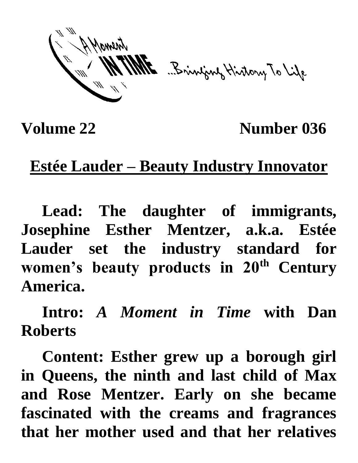ME Bringing History To Life

**Volume 22** Number 036

## **Estée Lauder – Beauty Industry Innovator**

**Lead: The daughter of immigrants, Josephine Esther Mentzer, a.k.a. Estée Lauder set the industry standard for women's beauty products in 20th Century America.**

**Intro:** *A Moment in Time* **with Dan Roberts**

**Content: Esther grew up a borough girl in Queens, the ninth and last child of Max and Rose Mentzer. Early on she became fascinated with the creams and fragrances that her mother used and that her relatives**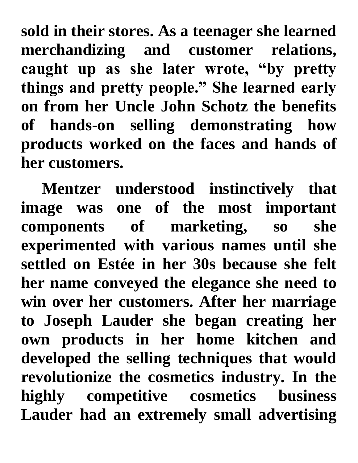**sold in their stores. As a teenager she learned merchandizing and customer relations, caught up as she later wrote, "by pretty things and pretty people." She learned early on from her Uncle John Schotz the benefits of hands-on selling demonstrating how products worked on the faces and hands of her customers.**

**Mentzer understood instinctively that image was one of the most important components of marketing, so she experimented with various names until she settled on Estée in her 30s because she felt her name conveyed the elegance she need to win over her customers. After her marriage to Joseph Lauder she began creating her own products in her home kitchen and developed the selling techniques that would revolutionize the cosmetics industry. In the highly competitive cosmetics business Lauder had an extremely small advertising**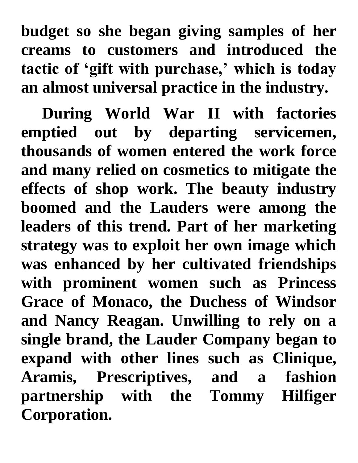**budget so she began giving samples of her creams to customers and introduced the tactic of 'gift with purchase,' which is today an almost universal practice in the industry.**

**During World War II with factories emptied out by departing servicemen, thousands of women entered the work force and many relied on cosmetics to mitigate the effects of shop work. The beauty industry boomed and the Lauders were among the leaders of this trend. Part of her marketing strategy was to exploit her own image which was enhanced by her cultivated friendships with prominent women such as Princess Grace of Monaco, the Duchess of Windsor and Nancy Reagan. Unwilling to rely on a single brand, the Lauder Company began to expand with other lines such as Clinique, Aramis, Prescriptives, and a fashion partnership with the Tommy Hilfiger Corporation.**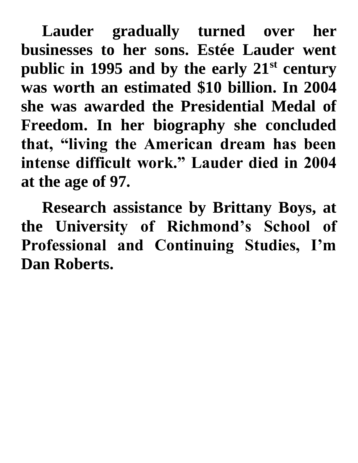**Lauder gradually turned over her businesses to her sons. Estée Lauder went public in 1995 and by the early 21st century was worth an estimated \$10 billion. In 2004 she was awarded the Presidential Medal of Freedom. In her biography she concluded that, "living the American dream has been intense difficult work." Lauder died in 2004 at the age of 97.**

**Research assistance by Brittany Boys, at the University of Richmond's School of Professional and Continuing Studies, I'm Dan Roberts.**